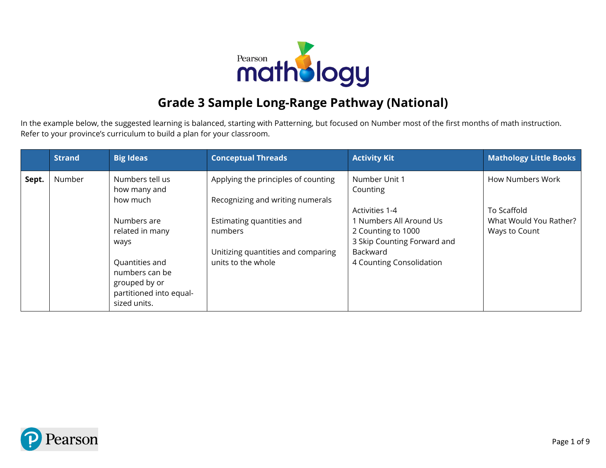

## **Grade 3 Sample Long-Range Pathway (National)**

In the example below, the suggested learning is balanced, starting with Patterning, but focused on Number most of the first months of math instruction. Refer to your province's curriculum to build a plan for your classroom.

|       | <b>Strand</b> | <b>Big Ideas</b>                                                                                                                                                                      | <b>Conceptual Threads</b>                                                                                                                                                   | <b>Activity Kit</b>                                                                                                                                                 | <b>Mathology Little Books</b>                                                     |
|-------|---------------|---------------------------------------------------------------------------------------------------------------------------------------------------------------------------------------|-----------------------------------------------------------------------------------------------------------------------------------------------------------------------------|---------------------------------------------------------------------------------------------------------------------------------------------------------------------|-----------------------------------------------------------------------------------|
| Sept. | Number        | Numbers tell us<br>how many and<br>how much<br>Numbers are<br>related in many<br>ways<br>Quantities and<br>numbers can be<br>grouped by or<br>partitioned into equal-<br>sized units. | Applying the principles of counting<br>Recognizing and writing numerals<br>Estimating quantities and<br>numbers<br>Unitizing quantities and comparing<br>units to the whole | Number Unit 1<br>Counting<br>Activities 1-4<br>1 Numbers All Around Us<br>2 Counting to 1000<br>3 Skip Counting Forward and<br>Backward<br>4 Counting Consolidation | <b>How Numbers Work</b><br>To Scaffold<br>What Would You Rather?<br>Ways to Count |

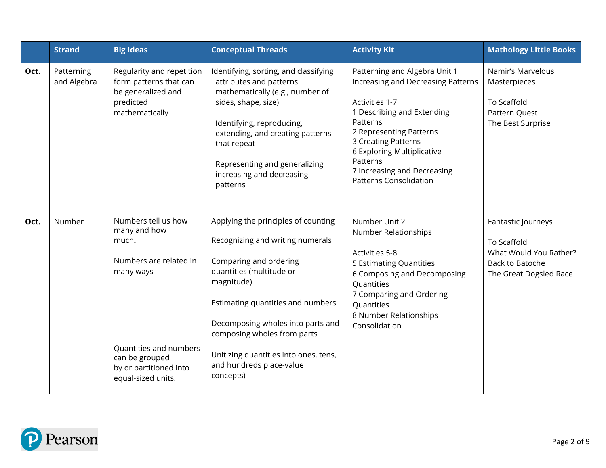|      | <b>Strand</b>             | <b>Big Ideas</b>                                                                                                                                                                | <b>Conceptual Threads</b>                                                                                                                                                                                                                                                                                                              | <b>Activity Kit</b>                                                                                                                                                                                                                                                                         | <b>Mathology Little Books</b>                                                                            |
|------|---------------------------|---------------------------------------------------------------------------------------------------------------------------------------------------------------------------------|----------------------------------------------------------------------------------------------------------------------------------------------------------------------------------------------------------------------------------------------------------------------------------------------------------------------------------------|---------------------------------------------------------------------------------------------------------------------------------------------------------------------------------------------------------------------------------------------------------------------------------------------|----------------------------------------------------------------------------------------------------------|
| Oct. | Patterning<br>and Algebra | Regularity and repetition<br>form patterns that can<br>be generalized and<br>predicted<br>mathematically                                                                        | Identifying, sorting, and classifying<br>attributes and patterns<br>mathematically (e.g., number of<br>sides, shape, size)<br>Identifying, reproducing,<br>extending, and creating patterns<br>that repeat<br>Representing and generalizing<br>increasing and decreasing<br>patterns                                                   | Patterning and Algebra Unit 1<br>Increasing and Decreasing Patterns<br>Activities 1-7<br>1 Describing and Extending<br>Patterns<br>2 Representing Patterns<br>3 Creating Patterns<br>6 Exploring Multiplicative<br>Patterns<br>7 Increasing and Decreasing<br><b>Patterns Consolidation</b> | Namir's Marvelous<br>Masterpieces<br>To Scaffold<br>Pattern Quest<br>The Best Surprise                   |
| Oct. | Number                    | Numbers tell us how<br>many and how<br>much.<br>Numbers are related in<br>many ways<br>Quantities and numbers<br>can be grouped<br>by or partitioned into<br>equal-sized units. | Applying the principles of counting<br>Recognizing and writing numerals<br>Comparing and ordering<br>quantities (multitude or<br>magnitude)<br>Estimating quantities and numbers<br>Decomposing wholes into parts and<br>composing wholes from parts<br>Unitizing quantities into ones, tens,<br>and hundreds place-value<br>concepts) | Number Unit 2<br>Number Relationships<br><b>Activities 5-8</b><br>5 Estimating Quantities<br>6 Composing and Decomposing<br>Quantities<br>7 Comparing and Ordering<br>Quantities<br>8 Number Relationships<br>Consolidation                                                                 | Fantastic Journeys<br>To Scaffold<br>What Would You Rather?<br>Back to Batoche<br>The Great Dogsled Race |

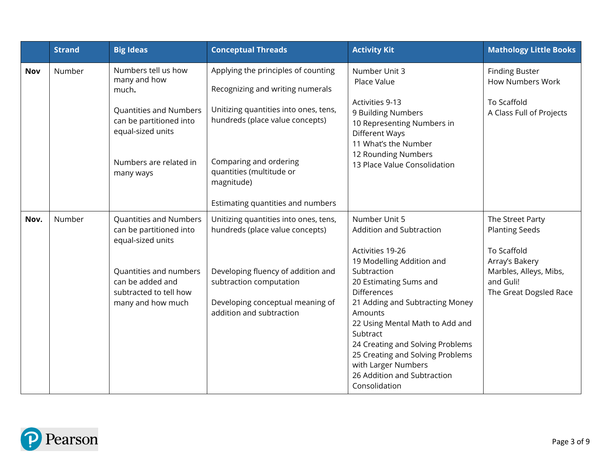|      | <b>Strand</b> | <b>Big Ideas</b>                                                       | <b>Conceptual Threads</b>                                                | <b>Activity Kit</b>                                                                                                                  | <b>Mathology Little Books</b>                    |
|------|---------------|------------------------------------------------------------------------|--------------------------------------------------------------------------|--------------------------------------------------------------------------------------------------------------------------------------|--------------------------------------------------|
| Nov  | Number        | Numbers tell us how<br>many and how<br>much.                           | Applying the principles of counting<br>Recognizing and writing numerals  | Number Unit 3<br>Place Value                                                                                                         | <b>Finding Buster</b><br><b>How Numbers Work</b> |
|      |               | Quantities and Numbers<br>can be partitioned into<br>equal-sized units | Unitizing quantities into ones, tens,<br>hundreds (place value concepts) | Activities 9-13<br>9 Building Numbers<br>10 Representing Numbers in<br>Different Ways<br>11 What's the Number<br>12 Rounding Numbers | To Scaffold<br>A Class Full of Projects          |
|      |               | Numbers are related in<br>many ways                                    | Comparing and ordering<br>quantities (multitude or<br>magnitude)         | 13 Place Value Consolidation                                                                                                         |                                                  |
|      |               |                                                                        | Estimating quantities and numbers                                        |                                                                                                                                      |                                                  |
| Nov. | Number        | Quantities and Numbers<br>can be partitioned into<br>equal-sized units | Unitizing quantities into ones, tens,<br>hundreds (place value concepts) | Number Unit 5<br>Addition and Subtraction                                                                                            | The Street Party<br><b>Planting Seeds</b>        |
|      |               |                                                                        |                                                                          | Activities 19-26<br>19 Modelling Addition and                                                                                        | To Scaffold<br>Array's Bakery                    |
|      |               | Quantities and numbers                                                 | Developing fluency of addition and                                       | Subtraction                                                                                                                          | Marbles, Alleys, Mibs,                           |
|      |               | can be added and<br>subtracted to tell how                             | subtraction computation                                                  | 20 Estimating Sums and<br><b>Differences</b>                                                                                         | and Guli!<br>The Great Dogsled Race              |
|      |               | many and how much                                                      | Developing conceptual meaning of                                         | 21 Adding and Subtracting Money                                                                                                      |                                                  |
|      |               |                                                                        | addition and subtraction                                                 | Amounts<br>22 Using Mental Math to Add and                                                                                           |                                                  |
|      |               |                                                                        |                                                                          | Subtract<br>24 Creating and Solving Problems                                                                                         |                                                  |
|      |               |                                                                        |                                                                          | 25 Creating and Solving Problems                                                                                                     |                                                  |
|      |               |                                                                        |                                                                          | with Larger Numbers<br>26 Addition and Subtraction                                                                                   |                                                  |
|      |               |                                                                        |                                                                          | Consolidation                                                                                                                        |                                                  |

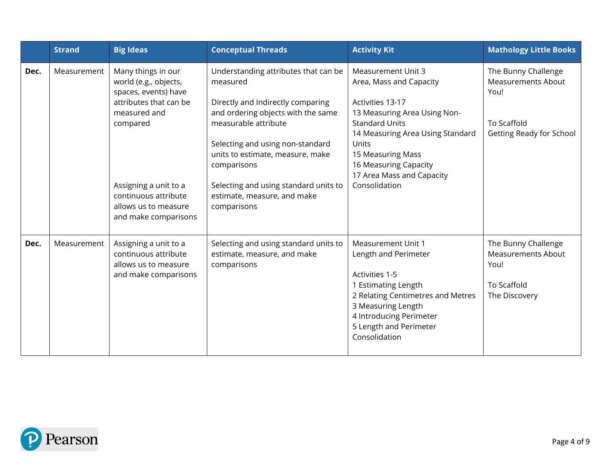|      | <b>Strand</b> | <b>Big Ideas</b>                                                                                                                                                                                                           | <b>Conceptual Threads</b>                                                                                                                                                                                                                                                                                                         | <b>Activity Kit</b>                                                                                                                                                                                                                                                        | <b>Mathology Little Books</b>                                                                       |
|------|---------------|----------------------------------------------------------------------------------------------------------------------------------------------------------------------------------------------------------------------------|-----------------------------------------------------------------------------------------------------------------------------------------------------------------------------------------------------------------------------------------------------------------------------------------------------------------------------------|----------------------------------------------------------------------------------------------------------------------------------------------------------------------------------------------------------------------------------------------------------------------------|-----------------------------------------------------------------------------------------------------|
| Dec. | Measurement   | Many things in our<br>world (e.g., objects,<br>spaces, events) have<br>attributes that can be<br>measured and<br>compared<br>Assigning a unit to a<br>continuous attribute<br>allows us to measure<br>and make comparisons | Understanding attributes that can be<br>measured<br>Directly and Indirectly comparing<br>and ordering objects with the same<br>measurable attribute<br>Selecting and using non-standard<br>units to estimate, measure, make<br>comparisons<br>Selecting and using standard units to<br>estimate, measure, and make<br>comparisons | <b>Measurement Unit 3</b><br>Area, Mass and Capacity<br>Activities 13-17<br>13 Measuring Area Using Non-<br><b>Standard Units</b><br>14 Measuring Area Using Standard<br>Units<br>15 Measuring Mass<br>16 Measuring Capacity<br>17 Area Mass and Capacity<br>Consolidation | The Bunny Challenge<br><b>Measurements About</b><br>You!<br>To Scaffold<br>Getting Ready for School |
| Dec. | Measurement   | Assigning a unit to a<br>continuous attribute<br>allows us to measure<br>and make comparisons                                                                                                                              | Selecting and using standard units to<br>estimate, measure, and make<br>comparisons                                                                                                                                                                                                                                               | Measurement Unit 1<br>Length and Perimeter<br>Activities 1-5<br>1 Estimating Length<br>2 Relating Centimetres and Metres<br>3 Measuring Length<br>4 Introducing Perimeter<br>5 Length and Perimeter<br>Consolidation                                                       | The Bunny Challenge<br><b>Measurements About</b><br>You!<br>To Scaffold<br>The Discovery            |

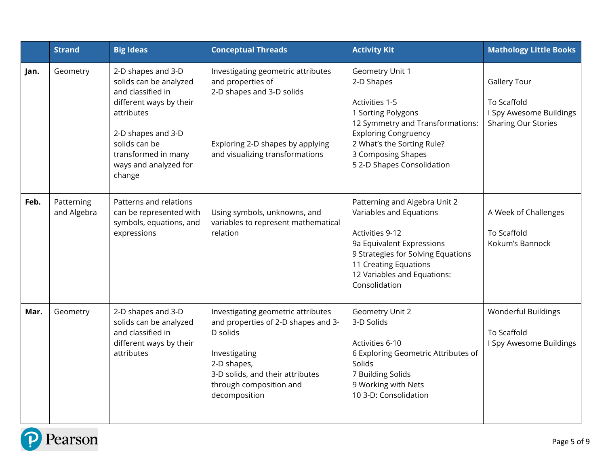|      | <b>Strand</b>             | <b>Big Ideas</b>                                                                                                                                                                                            | <b>Conceptual Threads</b>                                                                                                                                                                             | <b>Activity Kit</b>                                                                                                                                                                                                        | <b>Mathology Little Books</b>                                                               |
|------|---------------------------|-------------------------------------------------------------------------------------------------------------------------------------------------------------------------------------------------------------|-------------------------------------------------------------------------------------------------------------------------------------------------------------------------------------------------------|----------------------------------------------------------------------------------------------------------------------------------------------------------------------------------------------------------------------------|---------------------------------------------------------------------------------------------|
| Jan. | Geometry                  | 2-D shapes and 3-D<br>solids can be analyzed<br>and classified in<br>different ways by their<br>attributes<br>2-D shapes and 3-D<br>solids can be<br>transformed in many<br>ways and analyzed for<br>change | Investigating geometric attributes<br>and properties of<br>2-D shapes and 3-D solids<br>Exploring 2-D shapes by applying<br>and visualizing transformations                                           | Geometry Unit 1<br>2-D Shapes<br>Activities 1-5<br>1 Sorting Polygons<br>12 Symmetry and Transformations:<br><b>Exploring Congruency</b><br>2 What's the Sorting Rule?<br>3 Composing Shapes<br>5 2-D Shapes Consolidation | <b>Gallery Tour</b><br>To Scaffold<br>I Spy Awesome Buildings<br><b>Sharing Our Stories</b> |
| Feb. | Patterning<br>and Algebra | Patterns and relations<br>can be represented with<br>symbols, equations, and<br>expressions                                                                                                                 | Using symbols, unknowns, and<br>variables to represent mathematical<br>relation                                                                                                                       | Patterning and Algebra Unit 2<br>Variables and Equations<br>Activities 9-12<br>9a Equivalent Expressions<br>9 Strategies for Solving Equations<br>11 Creating Equations<br>12 Variables and Equations:<br>Consolidation    | A Week of Challenges<br>To Scaffold<br>Kokum's Bannock                                      |
| Mar. | Geometry                  | 2-D shapes and 3-D<br>solids can be analyzed<br>and classified in<br>different ways by their<br>attributes                                                                                                  | Investigating geometric attributes<br>and properties of 2-D shapes and 3-<br>D solids<br>Investigating<br>2-D shapes,<br>3-D solids, and their attributes<br>through composition and<br>decomposition | Geometry Unit 2<br>3-D Solids<br>Activities 6-10<br>6 Exploring Geometric Attributes of<br>Solids<br>7 Building Solids<br>9 Working with Nets<br>10 3-D: Consolidation                                                     | Wonderful Buildings<br>To Scaffold<br>I Spy Awesome Buildings                               |

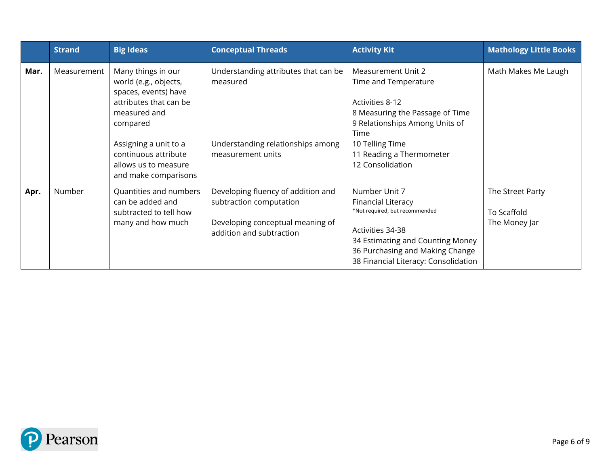|      | <b>Strand</b> | <b>Big Ideas</b>                                                                                                                                                                                                           | <b>Conceptual Threads</b>                                                                                                     | <b>Activity Kit</b>                                                                                                                                                                                           | <b>Mathology Little Books</b>                    |
|------|---------------|----------------------------------------------------------------------------------------------------------------------------------------------------------------------------------------------------------------------------|-------------------------------------------------------------------------------------------------------------------------------|---------------------------------------------------------------------------------------------------------------------------------------------------------------------------------------------------------------|--------------------------------------------------|
| Mar. | Measurement   | Many things in our<br>world (e.g., objects,<br>spaces, events) have<br>attributes that can be<br>measured and<br>compared<br>Assigning a unit to a<br>continuous attribute<br>allows us to measure<br>and make comparisons | Understanding attributes that can be<br>measured<br>Understanding relationships among<br>measurement units                    | Measurement Unit 2<br>Time and Temperature<br>Activities 8-12<br>8 Measuring the Passage of Time<br>9 Relationships Among Units of<br>Time<br>10 Telling Time<br>11 Reading a Thermometer<br>12 Consolidation | Math Makes Me Laugh                              |
| Apr. | Number        | Quantities and numbers<br>can be added and<br>subtracted to tell how<br>many and how much                                                                                                                                  | Developing fluency of addition and<br>subtraction computation<br>Developing conceptual meaning of<br>addition and subtraction | Number Unit 7<br>Financial Literacy<br>*Not required, but recommended<br>Activities 34-38<br>34 Estimating and Counting Money<br>36 Purchasing and Making Change<br>38 Financial Literacy: Consolidation      | The Street Party<br>To Scaffold<br>The Money Jar |

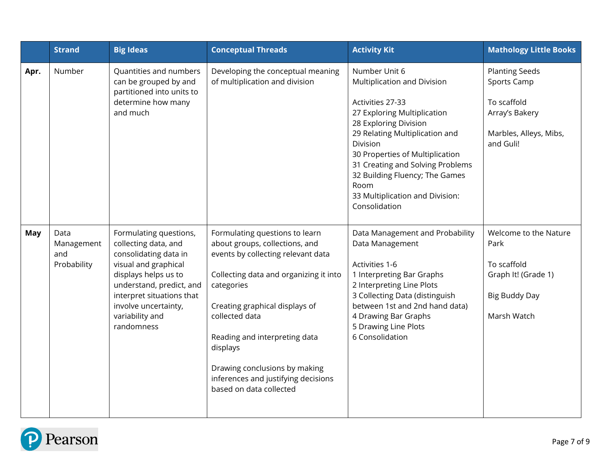|      | <b>Strand</b>                            | <b>Big Ideas</b>                                                                                                                                                                                                                          | <b>Conceptual Threads</b>                                                                                                                                                                                                                                                                                                                                          | <b>Activity Kit</b>                                                                                                                                                                                                                                                                                                                         | <b>Mathology Little Books</b>                                                                                |
|------|------------------------------------------|-------------------------------------------------------------------------------------------------------------------------------------------------------------------------------------------------------------------------------------------|--------------------------------------------------------------------------------------------------------------------------------------------------------------------------------------------------------------------------------------------------------------------------------------------------------------------------------------------------------------------|---------------------------------------------------------------------------------------------------------------------------------------------------------------------------------------------------------------------------------------------------------------------------------------------------------------------------------------------|--------------------------------------------------------------------------------------------------------------|
| Apr. | Number                                   | Quantities and numbers<br>can be grouped by and<br>partitioned into units to<br>determine how many<br>and much                                                                                                                            | Developing the conceptual meaning<br>of multiplication and division                                                                                                                                                                                                                                                                                                | Number Unit 6<br>Multiplication and Division<br>Activities 27-33<br>27 Exploring Multiplication<br>28 Exploring Division<br>29 Relating Multiplication and<br>Division<br>30 Properties of Multiplication<br>31 Creating and Solving Problems<br>32 Building Fluency; The Games<br>Room<br>33 Multiplication and Division:<br>Consolidation | <b>Planting Seeds</b><br>Sports Camp<br>To scaffold<br>Array's Bakery<br>Marbles, Alleys, Mibs,<br>and Guli! |
| May  | Data<br>Management<br>and<br>Probability | Formulating questions,<br>collecting data, and<br>consolidating data in<br>visual and graphical<br>displays helps us to<br>understand, predict, and<br>interpret situations that<br>involve uncertainty,<br>variability and<br>randomness | Formulating questions to learn<br>about groups, collections, and<br>events by collecting relevant data<br>Collecting data and organizing it into<br>categories<br>Creating graphical displays of<br>collected data<br>Reading and interpreting data<br>displays<br>Drawing conclusions by making<br>inferences and justifying decisions<br>based on data collected | Data Management and Probability<br>Data Management<br>Activities 1-6<br>1 Interpreting Bar Graphs<br>2 Interpreting Line Plots<br>3 Collecting Data (distinguish<br>between 1st and 2nd hand data)<br>4 Drawing Bar Graphs<br>5 Drawing Line Plots<br>6 Consolidation                                                                       | Welcome to the Nature<br>Park<br>To scaffold<br>Graph It! (Grade 1)<br><b>Big Buddy Day</b><br>Marsh Watch   |

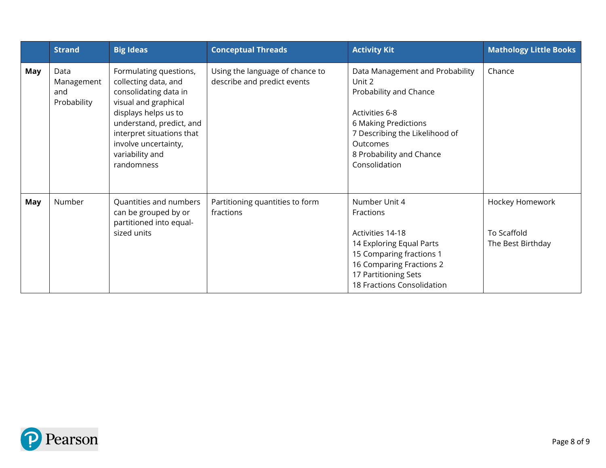|            | <b>Strand</b>                            | <b>Big Ideas</b>                                                                                                                                                                                                                          | <b>Conceptual Threads</b>                                      | <b>Activity Kit</b>                                                                                                                                                                                      | <b>Mathology Little Books</b>                       |
|------------|------------------------------------------|-------------------------------------------------------------------------------------------------------------------------------------------------------------------------------------------------------------------------------------------|----------------------------------------------------------------|----------------------------------------------------------------------------------------------------------------------------------------------------------------------------------------------------------|-----------------------------------------------------|
| May        | Data<br>Management<br>and<br>Probability | Formulating questions,<br>collecting data, and<br>consolidating data in<br>visual and graphical<br>displays helps us to<br>understand, predict, and<br>interpret situations that<br>involve uncertainty,<br>variability and<br>randomness | Using the language of chance to<br>describe and predict events | Data Management and Probability<br>Unit 2<br>Probability and Chance<br>Activities 6-8<br>6 Making Predictions<br>7 Describing the Likelihood of<br>Outcomes<br>8 Probability and Chance<br>Consolidation | Chance                                              |
| <b>May</b> | Number                                   | Quantities and numbers<br>can be grouped by or<br>partitioned into equal-<br>sized units                                                                                                                                                  | Partitioning quantities to form<br>fractions                   | Number Unit 4<br>Fractions<br>Activities 14-18<br>14 Exploring Equal Parts<br>15 Comparing fractions 1<br>16 Comparing Fractions 2<br>17 Partitioning Sets<br>18 Fractions Consolidation                 | Hockey Homework<br>To Scaffold<br>The Best Birthday |